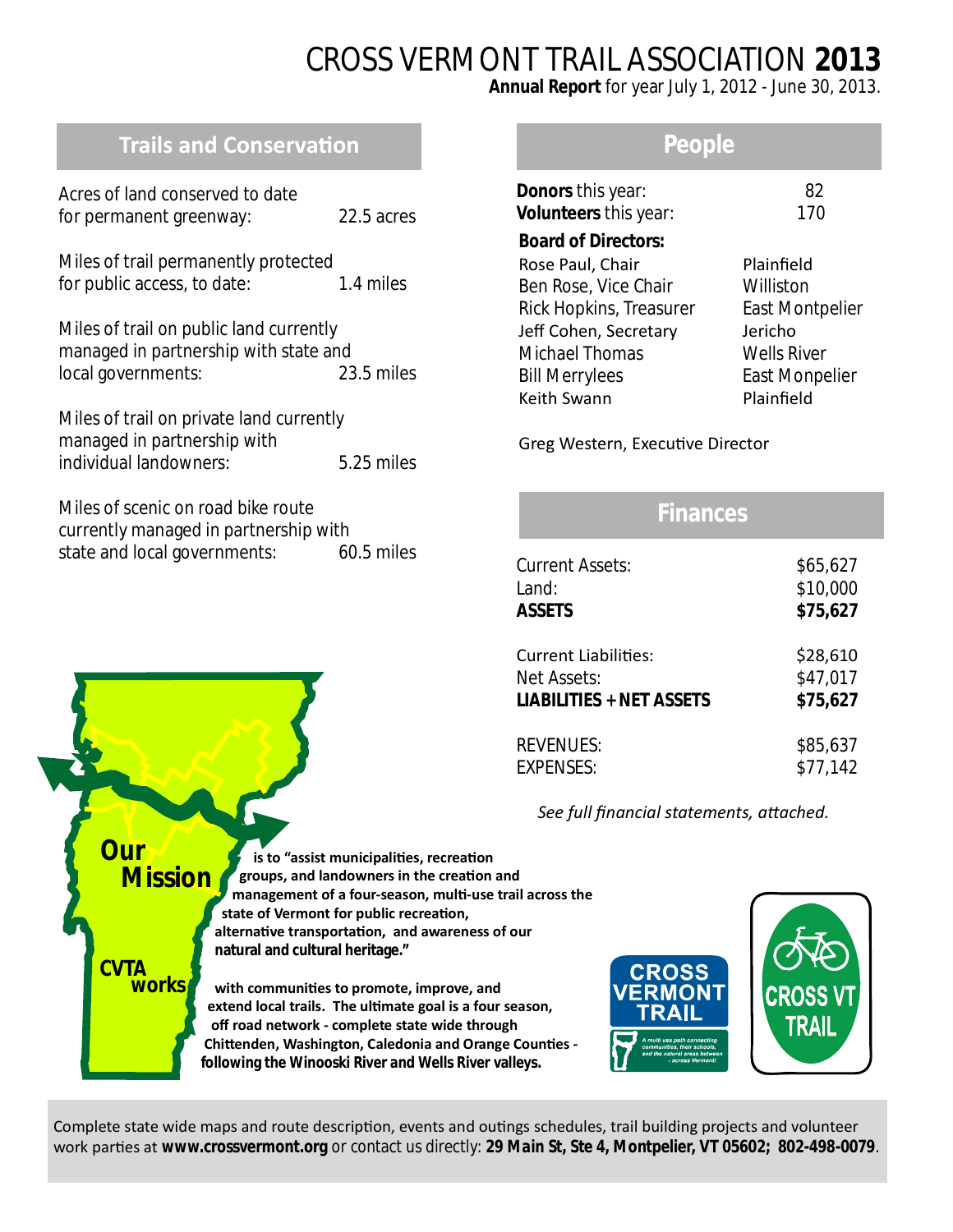# CROSS VERMONT TRAIL ASSOCIATION **2013**

**Annual Report** for year July 1, 2012 - June 30, 2013.

# **Trails and Conservation**

| Acres of land conserved to date<br>for permanent greenway:                                             | 22.5 acres |
|--------------------------------------------------------------------------------------------------------|------------|
| Miles of trail permanently protected<br>for public access, to date:                                    | 1.4 miles  |
| Miles of trail on public land currently<br>managed in partnership with state and<br>local governments: | 23.5 miles |

Miles of trail on private land currently managed in partnership with individual landowners: 5.25 miles

| Miles of scenic on road bike route    |            |
|---------------------------------------|------------|
| currently managed in partnership with |            |
| state and local governments:          | 60.5 miles |

## **People**

| <b>Donors</b> this year:<br>Volunteers this year: | 82<br>170              |
|---------------------------------------------------|------------------------|
| <b>Board of Directors:</b>                        |                        |
| Rose Paul, Chair                                  | Plainfield             |
| Ben Rose, Vice Chair                              | Williston              |
| Rick Hopkins, Treasurer                           | <b>East Montpelier</b> |
| Jeff Cohen, Secretary                             | Jericho                |
| <b>Michael Thomas</b>                             | <b>Wells River</b>     |
| <b>Bill Merrylees</b>                             | <b>East Monpelier</b>  |
| Keith Swann                                       | Plainfield             |
|                                                   |                        |

Greg Western, Executive Director

# **Finances**

| <b>Current Assets:</b>          | \$65,627 |
|---------------------------------|----------|
| Land:                           | \$10,000 |
| <b>ASSETS</b>                   | \$75,627 |
| <b>Current Liabilities:</b>     | \$28,610 |
| Net Assets:                     | \$47,017 |
| <b>LIABILITIES + NET ASSETS</b> | \$75,627 |
| <b>REVENUES:</b>                | \$85,637 |
| <b>EXPENSES:</b>                | \$77,142 |

See full financial statements, attached.

**is to "assist municipalities, recreation groups, and landowners in the creaƟon and management of a four-season, mulƟ-use trail across the** state of Vermont for public recreation,  **alternaƟve transportaƟon, and awareness of our natural and cultural heritage."** with communities to promote, improve, and extend local trails. The ultimate goal is a four season,  **off road network - complete state wide through Chittenden, Washington, Caledonia and Orange Counties following the Winooski River and Wells River valleys. Our Mission CVTA works**



Complete state wide maps and route description, events and outings schedules, trail building projects and volunteer work parties at *www.crossvermont.org* or contact us directly: 29 Main St, Ste 4, Montpelier, VT 05602; 802-498-0079.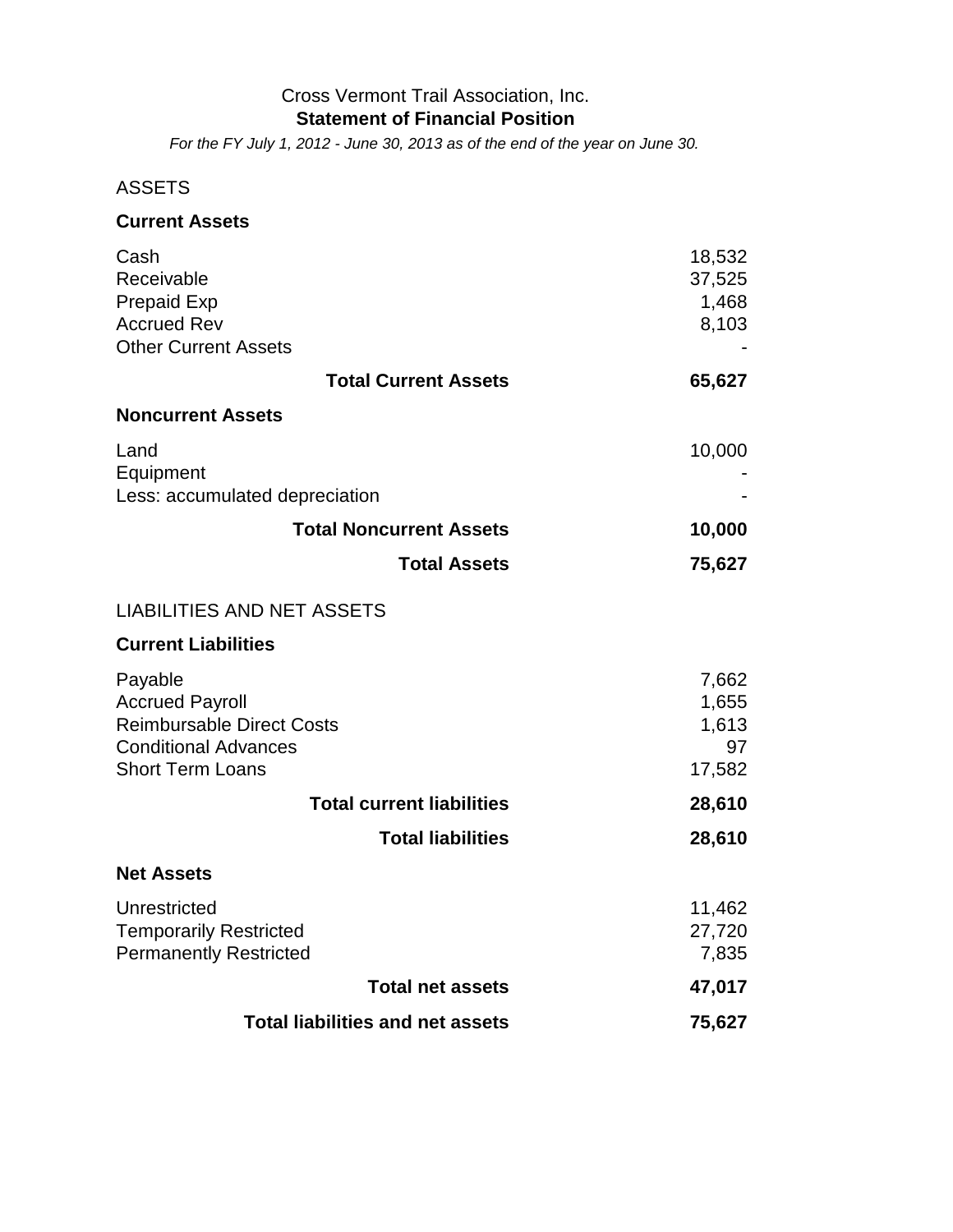#### Cross Vermont Trail Association, Inc. **Statement of Financial Position**

*For the FY July 1, 2012 - June 30, 2013 as of the end of the year on June 30.*

## ASSETS

| <b>Current Assets</b>                                                                                                           |                                         |
|---------------------------------------------------------------------------------------------------------------------------------|-----------------------------------------|
| Cash<br>Receivable<br><b>Prepaid Exp</b><br><b>Accrued Rev</b><br><b>Other Current Assets</b>                                   | 18,532<br>37,525<br>1,468<br>8,103      |
| <b>Total Current Assets</b>                                                                                                     | 65,627                                  |
| <b>Noncurrent Assets</b>                                                                                                        |                                         |
| Land<br>Equipment<br>Less: accumulated depreciation                                                                             | 10,000                                  |
| <b>Total Noncurrent Assets</b>                                                                                                  | 10,000                                  |
| <b>Total Assets</b>                                                                                                             | 75,627                                  |
| <b>LIABILITIES AND NET ASSETS</b>                                                                                               |                                         |
| <b>Current Liabilities</b>                                                                                                      |                                         |
| Payable<br><b>Accrued Payroll</b><br><b>Reimbursable Direct Costs</b><br><b>Conditional Advances</b><br><b>Short Term Loans</b> | 7,662<br>1,655<br>1,613<br>97<br>17,582 |
| <b>Total current liabilities</b>                                                                                                | 28,610                                  |
| <b>Total liabilities</b>                                                                                                        | 28,610                                  |
| <b>Net Assets</b>                                                                                                               |                                         |
| Unrestricted<br><b>Temporarily Restricted</b><br><b>Permanently Restricted</b>                                                  | 11,462<br>27,720<br>7,835               |
| <b>Total net assets</b>                                                                                                         | 47,017                                  |
| <b>Total liabilities and net assets</b>                                                                                         | 75,627                                  |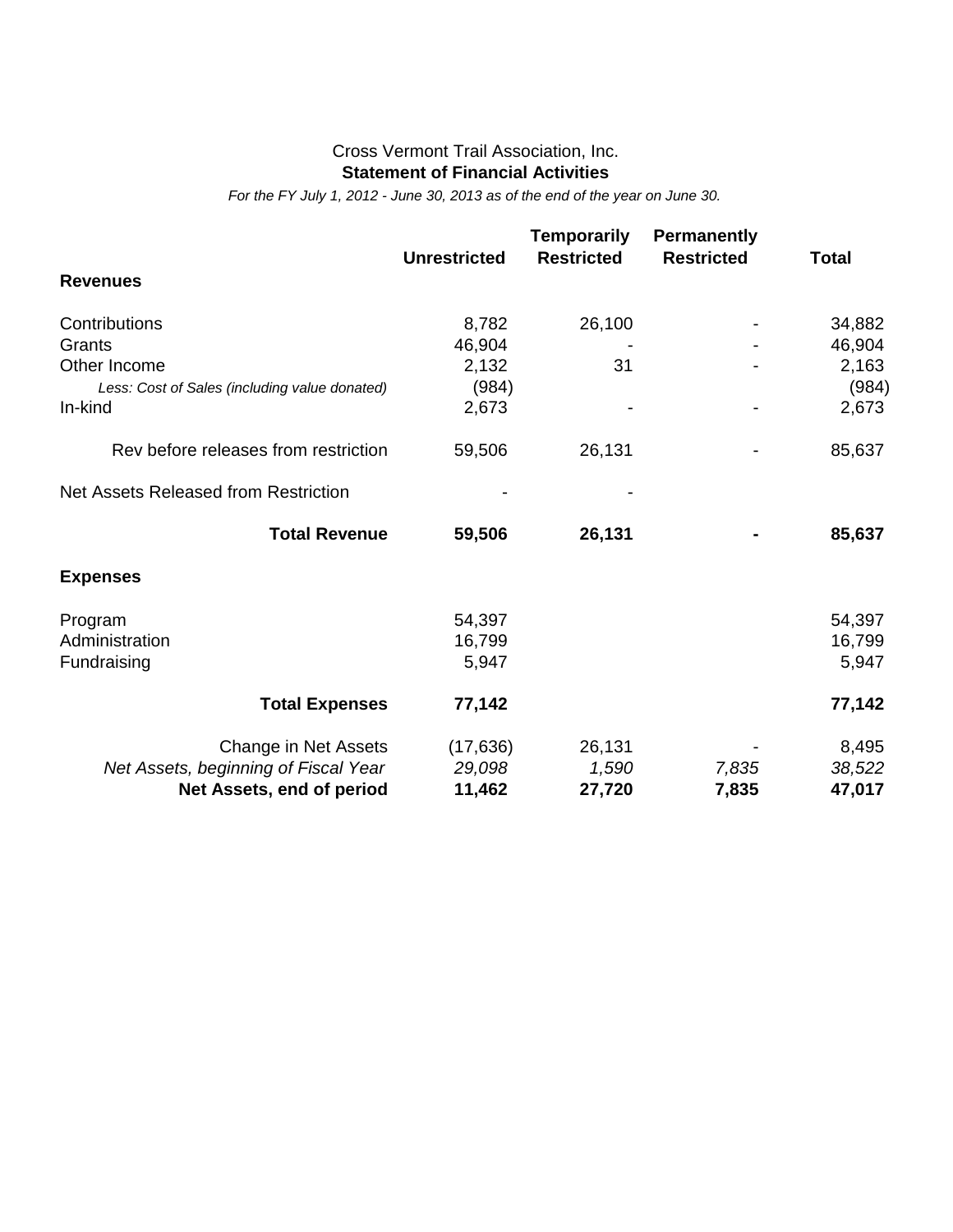#### Cross Vermont Trail Association, Inc. **Statement of Financial Activities**

*For the FY July 1, 2012 - June 30, 2013 as of the end of the year on June 30.*

|                                               | <b>Unrestricted</b> | <b>Temporarily</b><br><b>Restricted</b> | <b>Permanently</b><br><b>Restricted</b> | <b>Total</b> |
|-----------------------------------------------|---------------------|-----------------------------------------|-----------------------------------------|--------------|
| <b>Revenues</b>                               |                     |                                         |                                         |              |
| Contributions                                 | 8,782               | 26,100                                  |                                         | 34,882       |
| Grants                                        | 46,904              |                                         |                                         | 46,904       |
| Other Income                                  | 2,132               | 31                                      |                                         | 2,163        |
| Less: Cost of Sales (including value donated) | (984)               |                                         |                                         | (984)        |
| In-kind                                       | 2,673               |                                         |                                         | 2,673        |
| Rev before releases from restriction          | 59,506              | 26,131                                  |                                         | 85,637       |
| Net Assets Released from Restriction          |                     |                                         |                                         |              |
| <b>Total Revenue</b>                          | 59,506              | 26,131                                  |                                         | 85,637       |
| <b>Expenses</b>                               |                     |                                         |                                         |              |
| Program                                       | 54,397              |                                         |                                         | 54,397       |
| Administration                                | 16,799              |                                         |                                         | 16,799       |
| Fundraising                                   | 5,947               |                                         |                                         | 5,947        |
| <b>Total Expenses</b>                         | 77,142              |                                         |                                         | 77,142       |
| Change in Net Assets                          | (17, 636)           | 26,131                                  |                                         | 8,495        |
| Net Assets, beginning of Fiscal Year          | 29,098              | 1,590                                   | 7,835                                   | 38,522       |
| Net Assets, end of period                     | 11,462              | 27,720                                  | 7,835                                   | 47,017       |